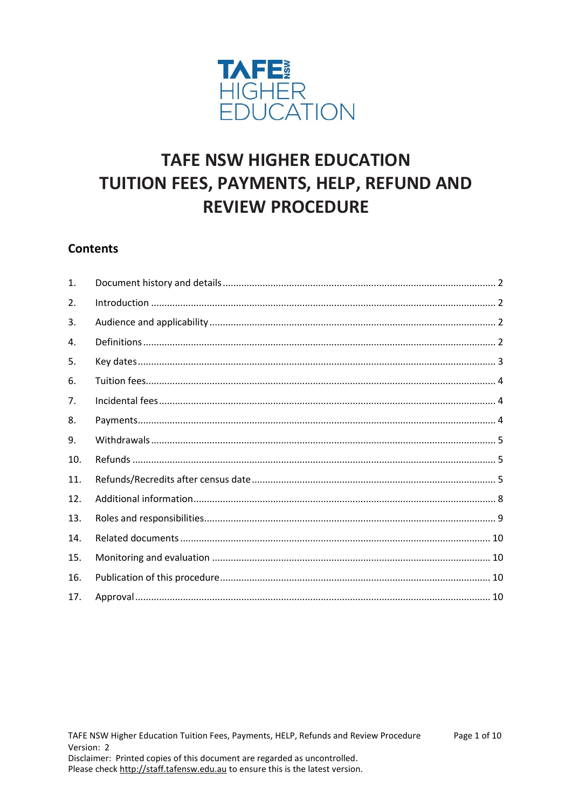

# **TAFE NSW HIGHER EDUCATION** TUITION FEES, PAYMENTS, HELP, REFUND AND **REVIEW PROCEDURE**

## **Contents**

| $\mathbf{1}$ . |  |
|----------------|--|
| 2.             |  |
| 3.             |  |
| 4.             |  |
| 5.             |  |
| 6.             |  |
| 7.             |  |
| 8.             |  |
| 9.             |  |
| 10.            |  |
| 11.            |  |
| 12.            |  |
| 13.            |  |
| 14.            |  |
| 15.            |  |
| 16.            |  |
| 17.            |  |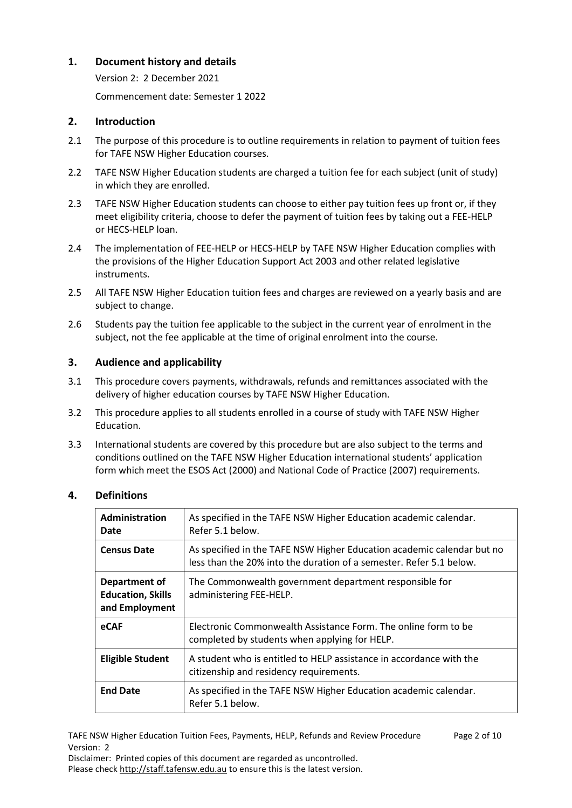## <span id="page-1-0"></span>**1. Document history and details**

Version 2: 2 December 2021

Commencement date: Semester 1 2022

## <span id="page-1-1"></span>**2. Introduction**

- 2.1 The purpose of this procedure is to outline requirements in relation to payment of tuition fees for TAFE NSW Higher Education courses.
- 2.2 TAFE NSW Higher Education students are charged a tuition fee for each subject (unit of study) in which they are enrolled.
- 2.3 TAFE NSW Higher Education students can choose to either pay tuition fees up front or, if they meet eligibility criteria, choose to defer the payment of tuition fees by taking out a FEE-HELP or HECS-HELP loan.
- 2.4 The implementation of FEE-HELP or HECS-HELP by TAFE NSW Higher Education complies with the provisions of the Higher Education Support Act 2003 and other related legislative instruments.
- 2.5 All TAFE NSW Higher Education tuition fees and charges are reviewed on a yearly basis and are subject to change.
- 2.6 Students pay the tuition fee applicable to the subject in the current year of enrolment in the subject, not the fee applicable at the time of original enrolment into the course.

## <span id="page-1-2"></span>**3. Audience and applicability**

- 3.1 This procedure covers payments, withdrawals, refunds and remittances associated with the delivery of higher education courses by TAFE NSW Higher Education.
- 3.2 This procedure applies to all students enrolled in a course of study with TAFE NSW Higher Education.
- 3.3 International students are covered by this procedure but are also subject to the terms and conditions outlined on the TAFE NSW Higher Education international students' application form which meet the ESOS Act (2000) and National Code of Practice (2007) requirements.

#### <span id="page-1-3"></span>**4. Definitions**

| <b>Administration</b><br>Date                               | As specified in the TAFE NSW Higher Education academic calendar.<br>Refer 5.1 below.                                                          |
|-------------------------------------------------------------|-----------------------------------------------------------------------------------------------------------------------------------------------|
| <b>Census Date</b>                                          | As specified in the TAFE NSW Higher Education academic calendar but no<br>less than the 20% into the duration of a semester. Refer 5.1 below. |
| Department of<br><b>Education, Skills</b><br>and Employment | The Commonwealth government department responsible for<br>administering FEE-HELP.                                                             |
| eCAF                                                        | Electronic Commonwealth Assistance Form. The online form to be<br>completed by students when applying for HELP.                               |
| <b>Eligible Student</b>                                     | A student who is entitled to HELP assistance in accordance with the<br>citizenship and residency requirements.                                |
| <b>End Date</b>                                             | As specified in the TAFE NSW Higher Education academic calendar.<br>Refer 5.1 below.                                                          |

TAFE NSW Higher Education Tuition Fees, Payments, HELP, Refunds and Review Procedure Page 2 of 10 Version: 2

Disclaimer: Printed copies of this document are regarded as uncontrolled. Please check [http://staff.tafensw.edu.au](http://staff.tafensw.edu.au/) to ensure this is the latest version.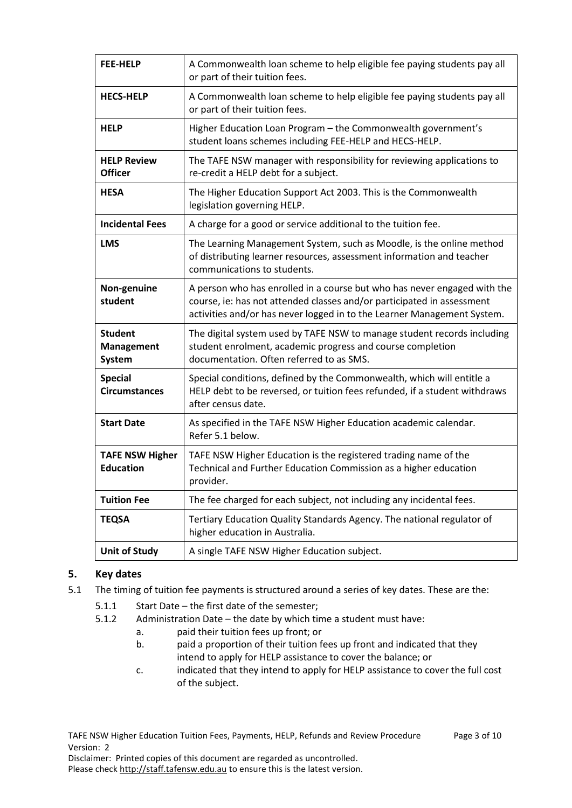| <b>FEE-HELP</b>                               | A Commonwealth loan scheme to help eligible fee paying students pay all<br>or part of their tuition fees.                                                                                                                     |
|-----------------------------------------------|-------------------------------------------------------------------------------------------------------------------------------------------------------------------------------------------------------------------------------|
| <b>HECS-HELP</b>                              | A Commonwealth loan scheme to help eligible fee paying students pay all<br>or part of their tuition fees.                                                                                                                     |
| <b>HELP</b>                                   | Higher Education Loan Program - the Commonwealth government's<br>student loans schemes including FEE-HELP and HECS-HELP.                                                                                                      |
| <b>HELP Review</b><br><b>Officer</b>          | The TAFE NSW manager with responsibility for reviewing applications to<br>re-credit a HELP debt for a subject.                                                                                                                |
| <b>HESA</b>                                   | The Higher Education Support Act 2003. This is the Commonwealth<br>legislation governing HELP.                                                                                                                                |
| <b>Incidental Fees</b>                        | A charge for a good or service additional to the tuition fee.                                                                                                                                                                 |
| <b>LMS</b>                                    | The Learning Management System, such as Moodle, is the online method<br>of distributing learner resources, assessment information and teacher<br>communications to students.                                                  |
| Non-genuine<br>student                        | A person who has enrolled in a course but who has never engaged with the<br>course, ie: has not attended classes and/or participated in assessment<br>activities and/or has never logged in to the Learner Management System. |
| <b>Student</b><br><b>Management</b><br>System | The digital system used by TAFE NSW to manage student records including<br>student enrolment, academic progress and course completion<br>documentation. Often referred to as SMS.                                             |
| <b>Special</b><br><b>Circumstances</b>        | Special conditions, defined by the Commonwealth, which will entitle a<br>HELP debt to be reversed, or tuition fees refunded, if a student withdraws<br>after census date.                                                     |
| <b>Start Date</b>                             | As specified in the TAFE NSW Higher Education academic calendar.<br>Refer 5.1 below.                                                                                                                                          |
| <b>TAFE NSW Higher</b><br><b>Education</b>    | TAFE NSW Higher Education is the registered trading name of the<br>Technical and Further Education Commission as a higher education<br>provider.                                                                              |
| <b>Tuition Fee</b>                            | The fee charged for each subject, not including any incidental fees.                                                                                                                                                          |
| <b>TEQSA</b>                                  | Tertiary Education Quality Standards Agency. The national regulator of<br>higher education in Australia.                                                                                                                      |
| <b>Unit of Study</b>                          | A single TAFE NSW Higher Education subject.                                                                                                                                                                                   |

## <span id="page-2-0"></span>**5. Key dates**

- 5.1 The timing of tuition fee payments is structured around a series of key dates. These are the:
	- 5.1.1 Start Date the first date of the semester;
	- 5.1.2 Administration Date the date by which time a student must have:
		- a. paid their tuition fees up front; or
			- b. paid a proportion of their tuition fees up front and indicated that they intend to apply for HELP assistance to cover the balance; or
			- c. indicated that they intend to apply for HELP assistance to cover the full cost of the subject.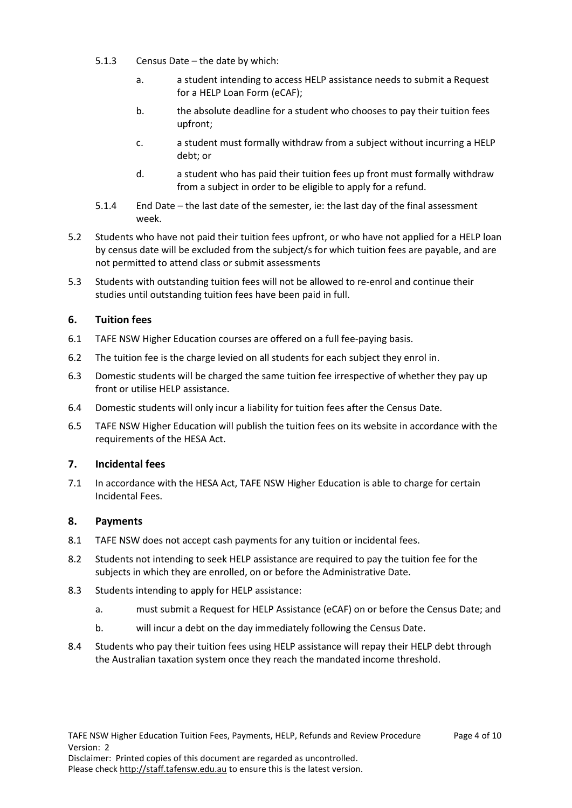- 5.1.3 Census Date the date by which:
	- a. a student intending to access HELP assistance needs to submit a Request for a HELP Loan Form (eCAF);
	- b. the absolute deadline for a student who chooses to pay their tuition fees upfront;
	- c. a student must formally withdraw from a subject without incurring a HELP debt; or
	- d. a student who has paid their tuition fees up front must formally withdraw from a subject in order to be eligible to apply for a refund.
- 5.1.4 End Date the last date of the semester, ie: the last day of the final assessment week.
- 5.2 Students who have not paid their tuition fees upfront, or who have not applied for a HELP loan by census date will be excluded from the subject/s for which tuition fees are payable, and are not permitted to attend class or submit assessments
- 5.3 Students with outstanding tuition fees will not be allowed to re-enrol and continue their studies until outstanding tuition fees have been paid in full.

## <span id="page-3-0"></span>**6. Tuition fees**

- 6.1 TAFE NSW Higher Education courses are offered on a full fee-paying basis.
- 6.2 The tuition fee is the charge levied on all students for each subject they enrol in.
- 6.3 Domestic students will be charged the same tuition fee irrespective of whether they pay up front or utilise HELP assistance.
- 6.4 Domestic students will only incur a liability for tuition fees after the Census Date.
- 6.5 TAFE NSW Higher Education will publish the tuition fees on its website in accordance with the requirements of the HESA Act.

#### <span id="page-3-1"></span>**7. Incidental fees**

7.1 In accordance with the HESA Act, TAFE NSW Higher Education is able to charge for certain Incidental Fees.

#### <span id="page-3-2"></span>**8. Payments**

- 8.1 TAFE NSW does not accept cash payments for any tuition or incidental fees.
- 8.2 Students not intending to seek HELP assistance are required to pay the tuition fee for the subjects in which they are enrolled, on or before the Administrative Date.
- 8.3 Students intending to apply for HELP assistance:
	- a. must submit a Request for HELP Assistance (eCAF) on or before the Census Date; and
	- b. will incur a debt on the day immediately following the Census Date.
- 8.4 Students who pay their tuition fees using HELP assistance will repay their HELP debt through the Australian taxation system once they reach the mandated income threshold.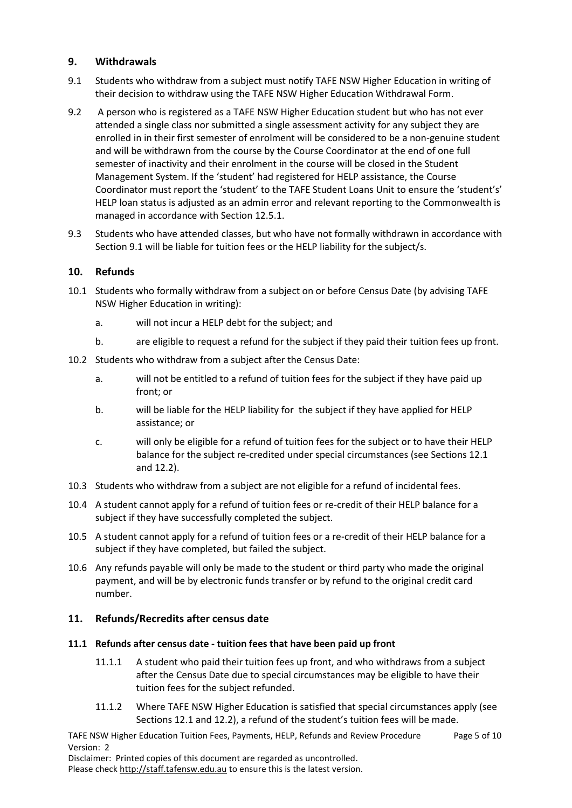## <span id="page-4-0"></span>**9. Withdrawals**

- 9.1 Students who withdraw from a subject must notify TAFE NSW Higher Education in writing of their decision to withdraw using the TAFE NSW Higher Education Withdrawal Form.
- 9.2 A person who is registered as a TAFE NSW Higher Education student but who has not ever attended a single class nor submitted a single assessment activity for any subject they are enrolled in in their first semester of enrolment will be considered to be a non-genuine student and will be withdrawn from the course by the Course Coordinator at the end of one full semester of inactivity and their enrolment in the course will be closed in the Student Management System. If the 'student' had registered for HELP assistance, the Course Coordinator must report the 'student' to the TAFE Student Loans Unit to ensure the 'student's' HELP loan status is adjusted as an admin error and relevant reporting to the Commonwealth is managed in accordance with Section 12.5.1.
- 9.3 Students who have attended classes, but who have not formally withdrawn in accordance with Section 9.1 will be liable for tuition fees or the HELP liability for the subject/s.

#### <span id="page-4-1"></span>**10. Refunds**

- 10.1 Students who formally withdraw from a subject on or before Census Date (by advising TAFE NSW Higher Education in writing):
	- a. will not incur a HELP debt for the subject; and
	- b. are eligible to request a refund for the subject if they paid their tuition fees up front.
- 10.2 Students who withdraw from a subject after the Census Date:
	- a. will not be entitled to a refund of tuition fees for the subject if they have paid up front; or
	- b. will be liable for the HELP liability for the subject if they have applied for HELP assistance; or
	- c. will only be eligible for a refund of tuition fees for the subject or to have their HELP balance for the subject re-credited under special circumstances (see Sections 12.1 and 12.2).
- 10.3 Students who withdraw from a subject are not eligible for a refund of incidental fees.
- 10.4 A student cannot apply for a refund of tuition fees or re-credit of their HELP balance for a subject if they have successfully completed the subject.
- 10.5 A student cannot apply for a refund of tuition fees or a re-credit of their HELP balance for a subject if they have completed, but failed the subject.
- 10.6 Any refunds payable will only be made to the student or third party who made the original payment, and will be by electronic funds transfer or by refund to the original credit card number.

## <span id="page-4-2"></span>**11. Refunds/Recredits after census date**

#### **11.1 Refunds after census date - tuition fees that have been paid up front**

- 11.1.1 A student who paid their tuition fees up front, and who withdraws from a subject after the Census Date due to special circumstances may be eligible to have their tuition fees for the subject refunded.
- 11.1.2 Where TAFE NSW Higher Education is satisfied that special circumstances apply (see Sections 12.1 and 12.2), a refund of the student's tuition fees will be made.

TAFE NSW Higher Education Tuition Fees, Payments, HELP, Refunds and Review Procedure Page 5 of 10 Version: 2

Disclaimer: Printed copies of this document are regarded as uncontrolled.

Please check [http://staff.tafensw.edu.au](http://staff.tafensw.edu.au/) to ensure this is the latest version.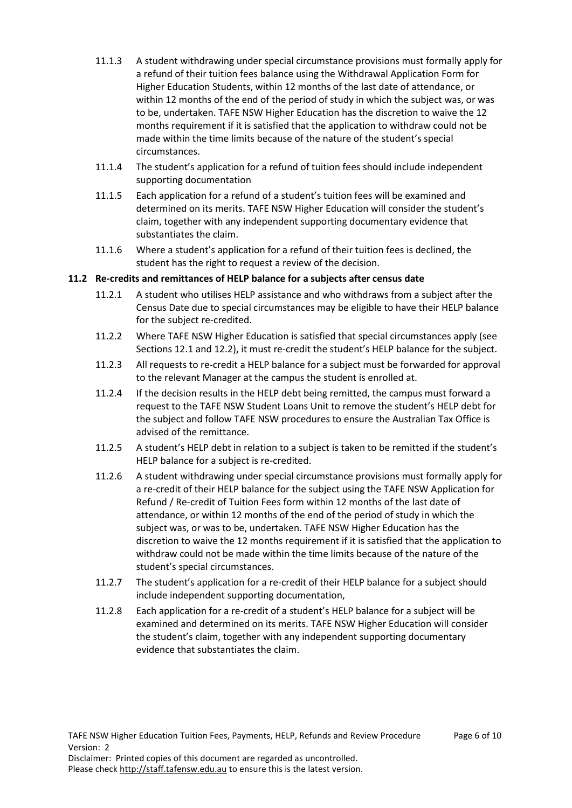- 11.1.3 A student withdrawing under special circumstance provisions must formally apply for a refund of their tuition fees balance using the Withdrawal Application Form for Higher Education Students, within 12 months of the last date of attendance, or within 12 months of the end of the period of study in which the subject was, or was to be, undertaken. TAFE NSW Higher Education has the discretion to waive the 12 months requirement if it is satisfied that the application to withdraw could not be made within the time limits because of the nature of the student's special circumstances.
- 11.1.4 The student's application for a refund of tuition fees should include independent supporting documentation
- 11.1.5 Each application for a refund of a student's tuition fees will be examined and determined on its merits. TAFE NSW Higher Education will consider the student's claim, together with any independent supporting documentary evidence that substantiates the claim.
- 11.1.6 Where a student's application for a refund of their tuition fees is declined, the student has the right to request a review of the decision.

#### **11.2 Re-credits and remittances of HELP balance for a subjects after census date**

- 11.2.1 A student who utilises HELP assistance and who withdraws from a subject after the Census Date due to special circumstances may be eligible to have their HELP balance for the subject re-credited.
- 11.2.2 Where TAFE NSW Higher Education is satisfied that special circumstances apply (see Sections 12.1 and 12.2), it must re-credit the student's HELP balance for the subject.
- 11.2.3 All requests to re-credit a HELP balance for a subject must be forwarded for approval to the relevant Manager at the campus the student is enrolled at.
- 11.2.4 If the decision results in the HELP debt being remitted, the campus must forward a request to the TAFE NSW Student Loans Unit to remove the student's HELP debt for the subject and follow TAFE NSW procedures to ensure the Australian Tax Office is advised of the remittance.
- 11.2.5 A student's HELP debt in relation to a subject is taken to be remitted if the student's HELP balance for a subject is re-credited.
- 11.2.6 A student withdrawing under special circumstance provisions must formally apply for a re-credit of their HELP balance for the subject using the TAFE NSW Application for Refund / Re-credit of Tuition Fees form within 12 months of the last date of attendance, or within 12 months of the end of the period of study in which the subject was, or was to be, undertaken. TAFE NSW Higher Education has the discretion to waive the 12 months requirement if it is satisfied that the application to withdraw could not be made within the time limits because of the nature of the student's special circumstances.
- 11.2.7 The student's application for a re-credit of their HELP balance for a subject should include independent supporting documentation,
- 11.2.8 Each application for a re-credit of a student's HELP balance for a subject will be examined and determined on its merits. TAFE NSW Higher Education will consider the student's claim, together with any independent supporting documentary evidence that substantiates the claim.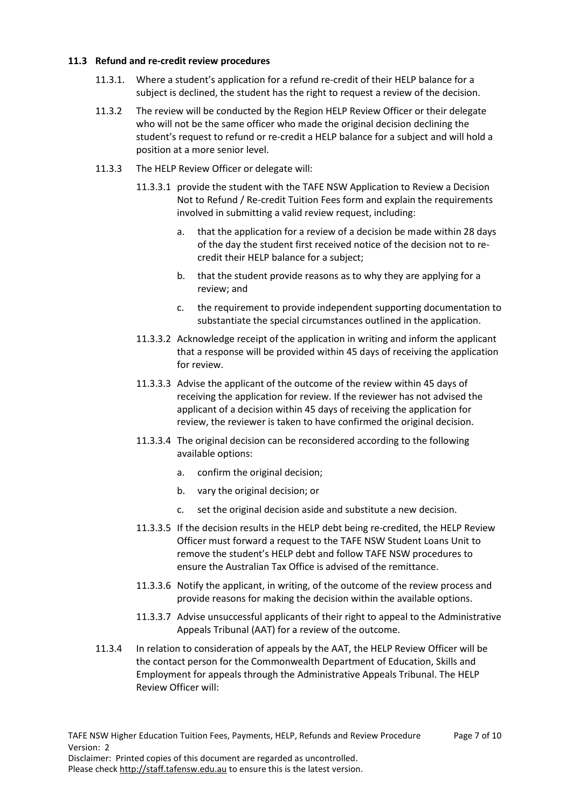#### **11.3 Refund and re-credit review procedures**

- 11.3.1. Where a student's application for a refund re-credit of their HELP balance for a subject is declined, the student has the right to request a review of the decision.
- 11.3.2 The review will be conducted by the Region HELP Review Officer or their delegate who will not be the same officer who made the original decision declining the student's request to refund or re-credit a HELP balance for a subject and will hold a position at a more senior level.
- 11.3.3 The HELP Review Officer or delegate will:
	- 11.3.3.1 provide the student with the TAFE NSW Application to Review a Decision Not to Refund / Re-credit Tuition Fees form and explain the requirements involved in submitting a valid review request, including:
		- a. that the application for a review of a decision be made within 28 days of the day the student first received notice of the decision not to recredit their HELP balance for a subject;
		- b. that the student provide reasons as to why they are applying for a review; and
		- c. the requirement to provide independent supporting documentation to substantiate the special circumstances outlined in the application.
	- 11.3.3.2 Acknowledge receipt of the application in writing and inform the applicant that a response will be provided within 45 days of receiving the application for review.
	- 11.3.3.3 Advise the applicant of the outcome of the review within 45 days of receiving the application for review. If the reviewer has not advised the applicant of a decision within 45 days of receiving the application for review, the reviewer is taken to have confirmed the original decision.
	- 11.3.3.4 The original decision can be reconsidered according to the following available options:
		- a. confirm the original decision;
		- b. vary the original decision; or
		- c. set the original decision aside and substitute a new decision.
	- 11.3.3.5 If the decision results in the HELP debt being re-credited, the HELP Review Officer must forward a request to the TAFE NSW Student Loans Unit to remove the student's HELP debt and follow TAFE NSW procedures to ensure the Australian Tax Office is advised of the remittance.
	- 11.3.3.6 Notify the applicant, in writing, of the outcome of the review process and provide reasons for making the decision within the available options.
	- 11.3.3.7 Advise unsuccessful applicants of their right to appeal to the Administrative Appeals Tribunal (AAT) for a review of the outcome.
- 11.3.4 In relation to consideration of appeals by the AAT, the HELP Review Officer will be the contact person for the Commonwealth Department of Education, Skills and Employment for appeals through the Administrative Appeals Tribunal. The HELP Review Officer will: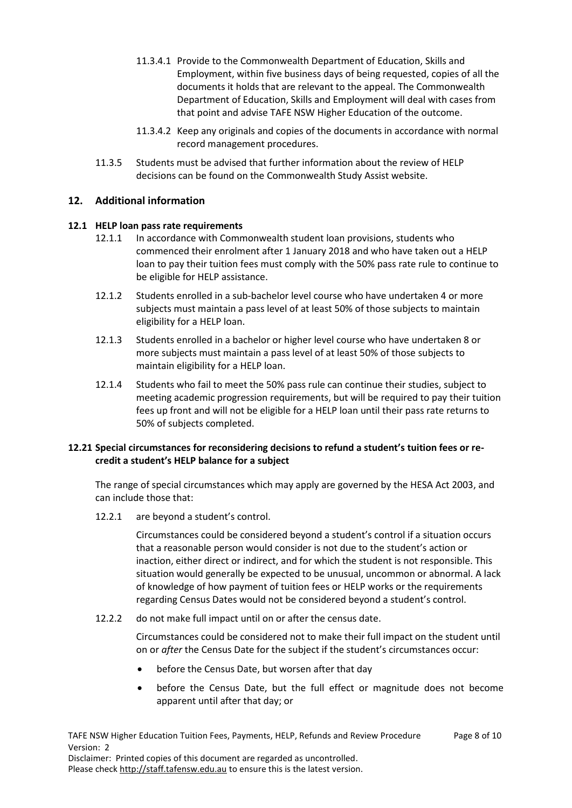- 11.3.4.1 Provide to the Commonwealth Department of Education, Skills and Employment, within five business days of being requested, copies of all the documents it holds that are relevant to the appeal. The Commonwealth Department of Education, Skills and Employment will deal with cases from that point and advise TAFE NSW Higher Education of the outcome.
- 11.3.4.2 Keep any originals and copies of the documents in accordance with normal record management procedures.
- 11.3.5 Students must be advised that further information about the review of HELP decisions can be found on the Commonwealth Study Assist website.

#### <span id="page-7-0"></span>**12. Additional information**

#### **12.1 HELP loan pass rate requirements**

- 12.1.1 In accordance with Commonwealth student loan provisions, students who commenced their enrolment after 1 January 2018 and who have taken out a HELP loan to pay their tuition fees must comply with the 50% pass rate rule to continue to be eligible for HELP assistance.
- 12.1.2 Students enrolled in a sub-bachelor level course who have undertaken 4 or more subjects must maintain a pass level of at least 50% of those subjects to maintain eligibility for a HELP loan.
- 12.1.3 Students enrolled in a bachelor or higher level course who have undertaken 8 or more subjects must maintain a pass level of at least 50% of those subjects to maintain eligibility for a HELP loan.
- 12.1.4 Students who fail to meet the 50% pass rule can continue their studies, subject to meeting academic progression requirements, but will be required to pay their tuition fees up front and will not be eligible for a HELP loan until their pass rate returns to 50% of subjects completed.

#### **12.21 Special circumstances for reconsidering decisions to refund a student's tuition fees or recredit a student's HELP balance for a subject**

The range of special circumstances which may apply are governed by the HESA Act 2003, and can include those that:

12.2.1 are beyond a student's control.

Circumstances could be considered beyond a student's control if a situation occurs that a reasonable person would consider is not due to the student's action or inaction, either direct or indirect, and for which the student is not responsible. This situation would generally be expected to be unusual, uncommon or abnormal. A lack of knowledge of how payment of tuition fees or HELP works or the requirements regarding Census Dates would not be considered beyond a student's control.

12.2.2 do not make full impact until on or after the census date.

Circumstances could be considered not to make their full impact on the student until on or *after* the Census Date for the subject if the student's circumstances occur:

- before the Census Date, but worsen after that day
- before the Census Date, but the full effect or magnitude does not become apparent until after that day; or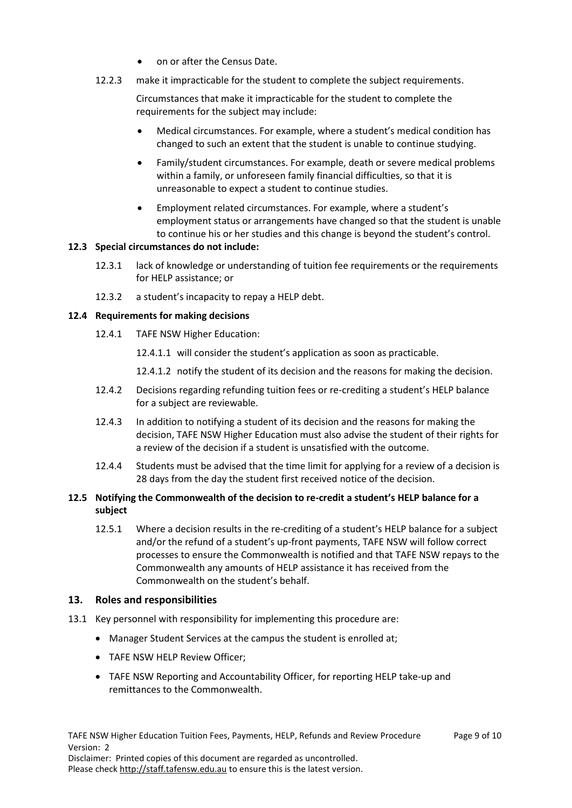- on or after the Census Date.
- 12.2.3 make it impracticable for the student to complete the subject requirements.

Circumstances that make it impracticable for the student to complete the requirements for the subject may include:

- Medical circumstances. For example, where a student's medical condition has changed to such an extent that the student is unable to continue studying.
- Family/student circumstances. For example, death or severe medical problems within a family, or unforeseen family financial difficulties, so that it is unreasonable to expect a student to continue studies.
- Employment related circumstances. For example, where a student's employment status or arrangements have changed so that the student is unable to continue his or her studies and this change is beyond the student's control.

#### **12.3 Special circumstances do not include:**

- 12.3.1 lack of knowledge or understanding of tuition fee requirements or the requirements for HELP assistance; or
- 12.3.2 a student's incapacity to repay a HELP debt.

#### **12.4 Requirements for making decisions**

12.4.1 TAFE NSW Higher Education:

12.4.1.1 will consider the student's application as soon as practicable.

12.4.1.2 notify the student of its decision and the reasons for making the decision.

- 12.4.2 Decisions regarding refunding tuition fees or re-crediting a student's HELP balance for a subject are reviewable.
- 12.4.3 In addition to notifying a student of its decision and the reasons for making the decision, TAFE NSW Higher Education must also advise the student of their rights for a review of the decision if a student is unsatisfied with the outcome.
- 12.4.4 Students must be advised that the time limit for applying for a review of a decision is 28 days from the day the student first received notice of the decision.

#### **12.5 Notifying the Commonwealth of the decision to re-credit a student's HELP balance for a subject**

12.5.1 Where a decision results in the re-crediting of a student's HELP balance for a subject and/or the refund of a student's up-front payments, TAFE NSW will follow correct processes to ensure the Commonwealth is notified and that TAFE NSW repays to the Commonwealth any amounts of HELP assistance it has received from the Commonwealth on the student's behalf.

#### <span id="page-8-0"></span>**13. Roles and responsibilities**

- 13.1 Key personnel with responsibility for implementing this procedure are:
	- Manager Student Services at the campus the student is enrolled at;
	- TAFE NSW HELP Review Officer;
	- TAFE NSW Reporting and Accountability Officer, for reporting HELP take-up and remittances to the Commonwealth.